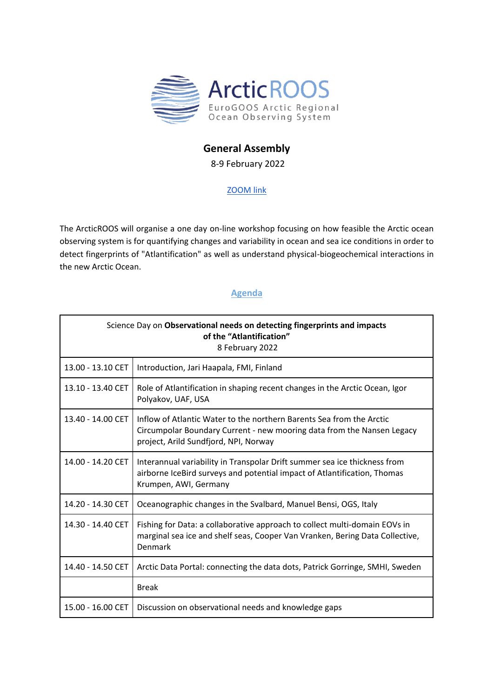

## **General Assembly**

8-9 February 2022

## [ZOOM link](https://us02web.zoom.us/j/87477973701?pwd=alJqaSt4SnRkeUF2TUNoNWxJYzQrQT09)

The ArcticROOS will organise a one day on-line workshop focusing on how feasible the Arctic ocean observing system is for quantifying changes and variability in ocean and sea ice conditions in order to detect fingerprints of "Atlantification" as well as understand physical-biogeochemical interactions in the new Arctic Ocean.

## **Agenda**

| Science Day on Observational needs on detecting fingerprints and impacts<br>of the "Atlantification"<br>8 February 2022 |                                                                                                                                                                                         |
|-------------------------------------------------------------------------------------------------------------------------|-----------------------------------------------------------------------------------------------------------------------------------------------------------------------------------------|
| 13.00 - 13.10 CET                                                                                                       | Introduction, Jari Haapala, FMI, Finland                                                                                                                                                |
| 13.10 - 13.40 CET                                                                                                       | Role of Atlantification in shaping recent changes in the Arctic Ocean, Igor<br>Polyakov, UAF, USA                                                                                       |
| 13.40 - 14.00 CET                                                                                                       | Inflow of Atlantic Water to the northern Barents Sea from the Arctic<br>Circumpolar Boundary Current - new mooring data from the Nansen Legacy<br>project, Arild Sundfjord, NPI, Norway |
| 14.00 - 14.20 CET                                                                                                       | Interannual variability in Transpolar Drift summer sea ice thickness from<br>airborne IceBird surveys and potential impact of Atlantification, Thomas<br>Krumpen, AWI, Germany          |
| 14.20 - 14.30 CET                                                                                                       | Oceanographic changes in the Svalbard, Manuel Bensi, OGS, Italy                                                                                                                         |
| 14.30 - 14.40 CET                                                                                                       | Fishing for Data: a collaborative approach to collect multi-domain EOVs in<br>marginal sea ice and shelf seas, Cooper Van Vranken, Bering Data Collective,<br>Denmark                   |
| 14.40 - 14.50 CET                                                                                                       | Arctic Data Portal: connecting the data dots, Patrick Gorringe, SMHI, Sweden                                                                                                            |
|                                                                                                                         | <b>Break</b>                                                                                                                                                                            |
| 15.00 - 16.00 CET                                                                                                       | Discussion on observational needs and knowledge gaps                                                                                                                                    |